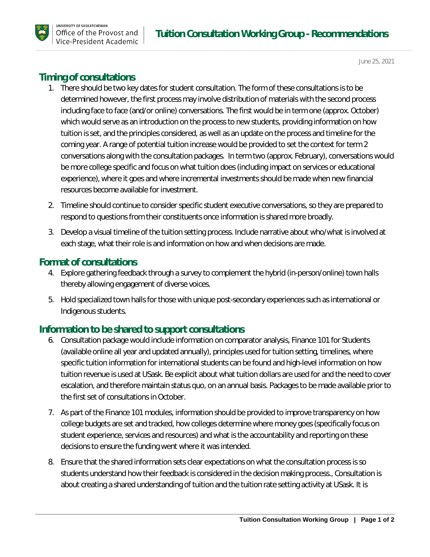

June 25, 2021

# **Timing of consultations**

- 1. There should be two key dates for student consultation. The form of these consultations is to be determined however, the first process may involve distribution of materials with the second process including face to face (and/or online) conversations. The first would be in term one (approx. October) which would serve as an introduction on the process to new students, providing information on how tuition is set, and the principles considered, as well as an update on the process and timeline for the coming year. A range of potential tuition increase would be provided to set the context for term 2 conversations along with the consultation packages. In term two (approx. February), conversations would be more college specific and focus on what tuition does (including impact on services or educational experience), where it goes and where incremental investments should be made when new financial resources become available for investment.
- 2. Timeline should continue to consider specific student executive conversations, so they are prepared to respond to questions from their constituents once information is shared more broadly.
- 3. Develop a visual timeline of the tuition setting process. Include narrative about who/what is involved at each stage, what their role is and information on how and when decisions are made.

### **Format of consultations**

- 4. Explore gathering feedback through a survey to complement the hybrid (in-person/online) town halls thereby allowing engagement of diverse voices.
- 5. Hold specialized town halls for those with unique post-secondary experiences such as international or Indigenous students.

## **Information to be shared to support consultations**

- 6. Consultation package would include information on comparator analysis, Finance 101 for Students (available online all year and updated annually), principles used for tuition setting, timelines, where specific tuition information for international students can be found and high-level information on how tuition revenue is used at USask. Be explicit about what tuition dollars are used for and the need to cover escalation, and therefore maintain status quo, on an annual basis. Packages to be made available prior to the first set of consultations in October.
- 7. As part of the Finance 101 modules, information should be provided to improve transparency on how college budgets are set and tracked, how colleges determine where money goes (specifically focus on student experience, services and resources) and what is the accountability and reporting on these decisions to ensure the funding went where it was intended.
- 8. Ensure that the shared information sets clear expectations on what the consultation process is so students understand how their feedback is considered in the decision making process., Consultation is about creating a shared understanding of tuition and the tuition rate setting activity at USask. It is